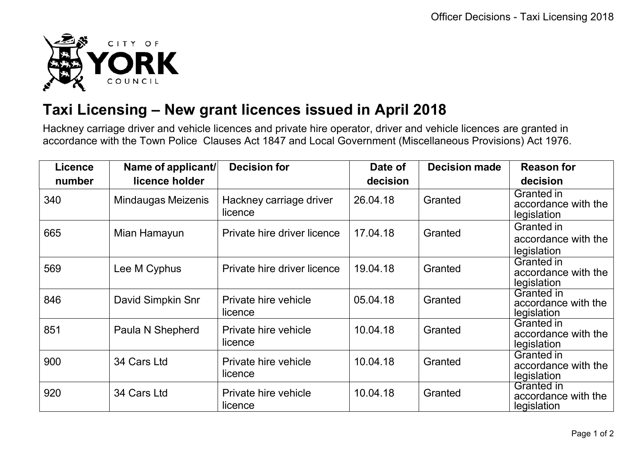

## **Taxi Licensing – New grant licences issued in April 2018**

Hackney carriage driver and vehicle licences and private hire operator, driver and vehicle licences are granted in accordance with the Town Police Clauses Act 1847 and Local Government (Miscellaneous Provisions) Act 1976.

| <b>Licence</b> | Name of applicant/ | <b>Decision for</b>                | Date of  | <b>Decision made</b> | <b>Reason for</b>                                |
|----------------|--------------------|------------------------------------|----------|----------------------|--------------------------------------------------|
| number         | licence holder     |                                    | decision |                      | decision                                         |
| 340            | Mindaugas Meizenis | Hackney carriage driver<br>licence | 26.04.18 | Granted              | Granted in<br>accordance with the<br>legislation |
| 665            | Mian Hamayun       | Private hire driver licence        | 17.04.18 | Granted              | Granted in<br>accordance with the<br>legislation |
| 569            | Lee M Cyphus       | Private hire driver licence        | 19.04.18 | Granted              | Granted in<br>accordance with the<br>legislation |
| 846            | David Simpkin Snr  | Private hire vehicle<br>licence    | 05.04.18 | Granted              | Granted in<br>accordance with the<br>legislation |
| 851            | Paula N Shepherd   | Private hire vehicle<br>licence    | 10.04.18 | Granted              | Granted in<br>accordance with the<br>legislation |
| 900            | 34 Cars Ltd        | Private hire vehicle<br>licence    | 10.04.18 | Granted              | Granted in<br>accordance with the<br>legislation |
| 920            | 34 Cars Ltd        | Private hire vehicle<br>licence    | 10.04.18 | Granted              | Granted in<br>accordance with the<br>legislation |